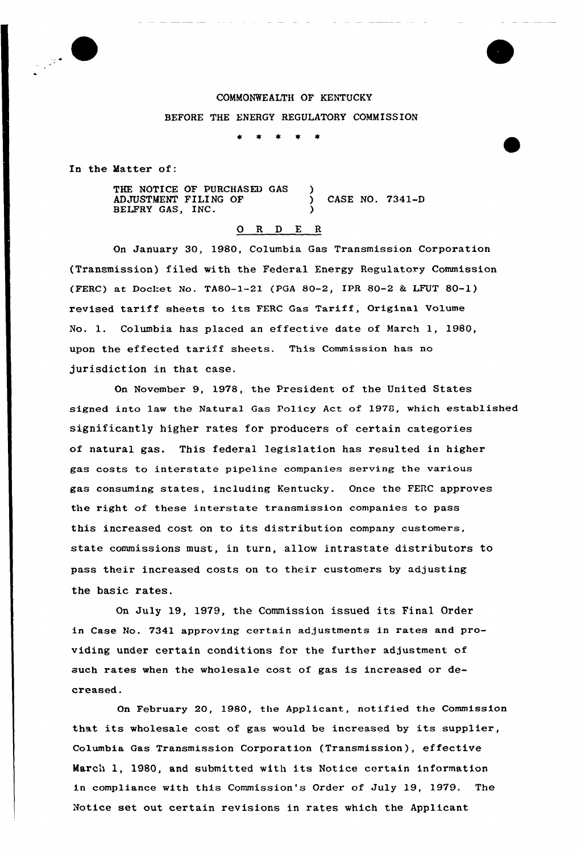

# COMMONWEALTH OF KENTUCKY BEFORE THE ENERGY REGULATORY COMMISSION

In the Matter of:

THE NOTICE OF PURCHASED GAS ADJUSTMENT FILING OF  $\qquad \qquad$  CASE NO. 7341-D BELFRY GAS, INC.

### 0 R <sup>D</sup> E <sup>R</sup>

On January 30, 1980, Columbia Gas Transmission Corporation (Transmission) filed with the Federal Energy Regulatory Commission (FERC) at Docket No. TASO-1-21 (PGA 80-2, IPR 80-2 & LFUT 80-1) revised tariff sheets to its FERC Gas Tariff, Original Volume No. 1. Columbia has placed an effective date of March 1, 1980, upon the effected tariff sheets. This Commission has no jurisdiction in that case.

On November 9, 1978, the President of the United States signed into law the Natural Gas Policy Act of 1978, which established significantly higher rates for producers of certain categories of natural gas. This federal legislation has resulted in higher gas costs to interstate pipeline companies serving the various gas consuming states, including Kentucky. Once the FERC approves the right of these interstate transmission companies to pass this increased cost on to its distribution company customers, state commissions must, in turn, allow intrastate distributors to pass their increased costs on to their customers by adjusting the basic rates.

On July 19, 1979, the Commission issued its Final Order in Case No. 7341 approving certain adjustments in rates and providing under certain conditions for the further adjustment of such rates when the wholesale cost of gas is increased or decreased.

On February 20, 1980, the Applicant, notified the Commission that its wholesale cost of gas would be increased by its supplier, Columbia Gas Transmission Corporation (Transmission), effective March 1, 1980, and submitted with its Notice certain information in compliance with this Commission's Order of July 19, 1979. The Notice set out certain revisions in rates which the Applicant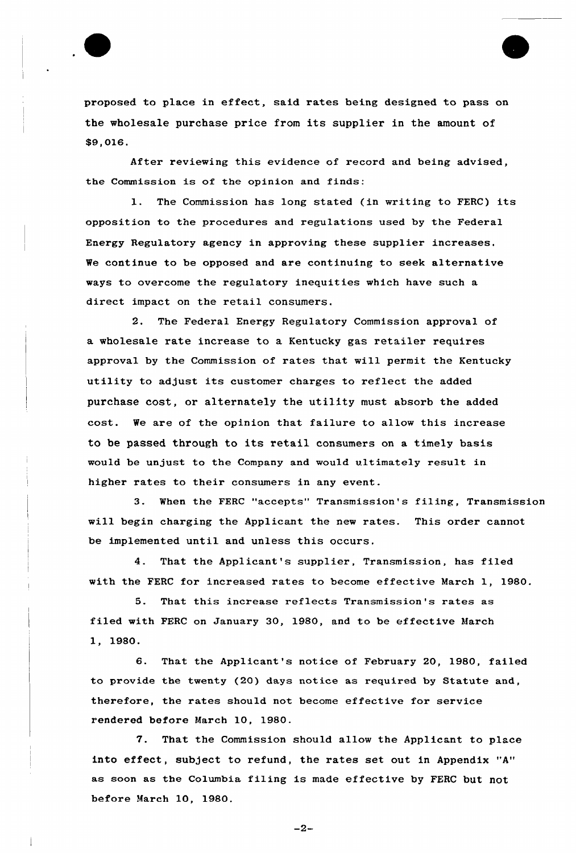

proposed to place in effect, said rates being designed to pass on the wholesale purchase price from its supplier in the amount of \$9,016.

After reviewing this evidence of record and being advised, the Commission is of the opinion and finds:

1. The Commission has long stated (in writing to FERC) its opposition to the procedures and regulations used by the Federal Energy Regulatory agency in approving these supplier increases. We continue to be opposed and are continuing to seek alternative ways to overcome the regulatory inequities which have such a direct impact on the retail consumers.

2. The Federal Energy Regulatory Commission approval of a wholesale rate increase to a Kentucky gas retailer requires approval by the Commission of rates that will permit the Kentucky utility to adjust its customer charges to reflect the added purchase cost, or alternately the utility must absorb the added cost. We are of the opinion that failure to allow this increase to be passed through to its retail consumers on a timely basis would be unjust to the Company and would ultimately result in higher rates to their consumers in any event.

3. When the FERC "accepts" Transmission's filing, Transmission will begin charging the Applicant the new rates. This order cannot be implemented until and unless this occurs.

4. That the Applicant's supplier, Transmission, has filed with the FERC for increased rates to become effective March 1, 1980.

5. That this increase reflects Transmission's rates as filed with FERC on January 30, 1980, and to be effective March 1, 1980.

6. That the Applicant's notice of February 20, 1980, failed to provide the twenty (20) days notice as required by Statute and, therefore, the rates should not become effective for service rendered before March 10, 1980.

7. That the Commission should allow the Applicant to place into effect, subject to refund, the rates set out in Appendix "A" as soon as the Columbia filing is made effective by FERC but not before March 10, 1980.

 $-2-$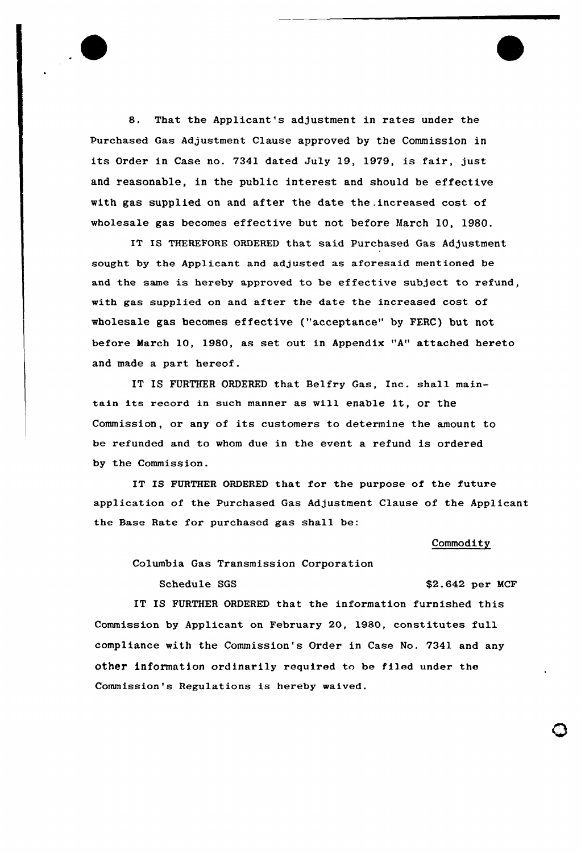

8. That the Applicant's adjustment in rates under the Purchased Gas Adjustment Clause approved by the Commission in its Order in Case no. 7341 dated July 19, 1979, is fair, just and reasonable, in the public interest and should be effective with gas supplied on and after the date the .increased cost of wholesale gas becomes effective but not before March 10, 1980.

IT IS THEREFORE ORDERED that said Purchased Gas Adjustment sought by the Applicant and adjusted as aforesaid mentioned be and the same is hereby approved to be effective subject to refund, with gas supplied on and after the date the increased cost of wholesale gas becomes effective ("acceptance" by FERC) but not before March 10, 1980, as set out in Appendix "A" attached hereto and made a part hereof.

IT IS FURTHER ORDERED that Belfry Gas, Inc. shall maintain its record in such manner as will enable it, Or the Commission, or any of its customers to determine the amount to be refunded and to whom due in the event a refund is ordered by the Commission.

IT IS FURTHER ORDERED that for the purpose of the future application of the Purchased Gas Adjustment Clause of the Applicant the Base Rate for purchased gas shall be:

#### Commodity

Columbia Gas Transmission Corporation

Schedule SGS  $$2.642$  per MCF

IT IS FURTHER ORDERED that the information furnished this Commission by Applicant on February 20, 1980, constitutes full compliance with the Commission's Order in Case No. 7341 and any other information ordinarily required to be Piled under the Commission's Regulations is hereby waived.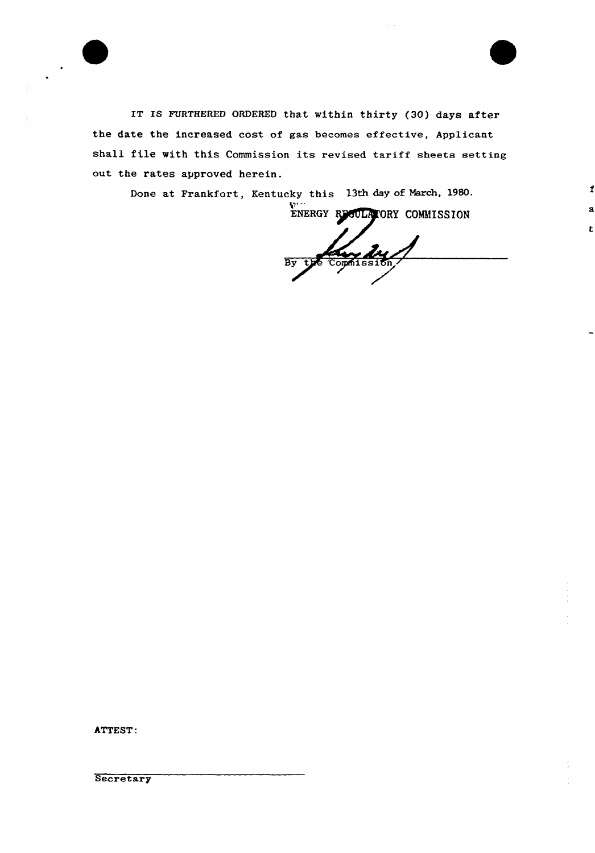

IT IS FURTHERED ORDERED that within thirty (30) days after the date the increased cost of gas becomes effective, Applicant shall file with this Commission its revised tariff sheets setting out the rates approved herein.

Done at Frankfort, Kentucky this 13th day of March, 1980.

ENERGY REGULATORY COMMISSION

Zwy Zw  $\overline{\mathbf{B}}\overline{\mathbf{v}}$ 

 $\mathbf f$ 

 $\mathbf{t}$ 

ATTEST:

Secretary